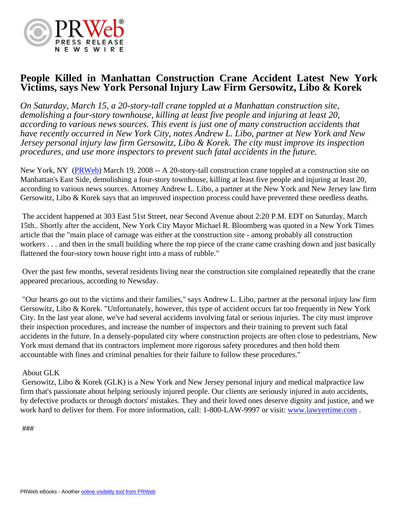

## **People Killed in Manhattan Construction Crane Accident Latest New York Victims, says New York Personal Injury Law Firm Gersowitz, Libo & Korek**

*On Saturday, March 15, a 20-story-tall crane toppled at a Manhattan construction site, demolishing a four-story townhouse, killing at least five people and injuring at least 20, according to various news sources. This event is just one of many construction accidents that have recently occurred in New York City, notes Andrew L. Libo, partner at New York and New Jersey personal injury law firm Gersowitz, Libo & Korek. The city must improve its inspection procedures, and use more inspectors to prevent such fatal accidents in the future.*

New York, NY ([PRWeb](http://www.prweb.com)) March 19, 2008 -- A 20-story-tall construction crane toppled at a construction site on Manhattan's East Side, demolishing a four-story townhouse, killing at least five people and injuring at least 20, according to various news sources. Attorney Andrew L. Libo, a partner at the New York and New Jersey law firm Gersowitz, Libo & Korek says that an improved inspection process could have prevented these needless deaths.

 The accident happened at 303 East 51st Street, near Second Avenue about 2:20 P.M. EDT on Saturday, March 15th.. Shortly after the accident, New York City Mayor Michael R. Bloomberg was quoted in a New York Times article that the "main place of carnage was either at the construction site - among probably all construction workers . . . and then in the small building where the top piece of the crane came crashing down and just basically flattened the four-story town house right into a mass of rubble."

 Over the past few months, several residents living near the construction site complained repeatedly that the crane appeared precarious, according to Newsday.

 "Our hearts go out to the victims and their families," says Andrew L. Libo, partner at the personal injury law firm Gersowitz, Libo & Korek. "Unfortunately, however, this type of accident occurs far too frequently in New York City. In the last year alone, we've had several accidents involving fatal or serious injuries. The city must improve their inspection procedures, and increase the number of inspectors and their training to prevent such fatal accidents in the future. In a densely-populated city where construction projects are often close to pedestrians, New York must demand that its contractors implement more rigorous safety procedures and then hold them accountable with fines and criminal penalties for their failure to follow these procedures."

## About GLK

 Gersowitz, Libo & Korek (GLK) is a New York and New Jersey personal injury and medical malpractice law firm that's passionate about helping seriously injured people. Our clients are seriously injured in auto accidents, by defective products or through doctors' mistakes. They and their loved ones deserve dignity and justice, and we work hard to deliver for them. For more information, call: 1-800-LAW-9997 or visit: [www.lawyertime.com](http://www.lawyertime.com) .

###